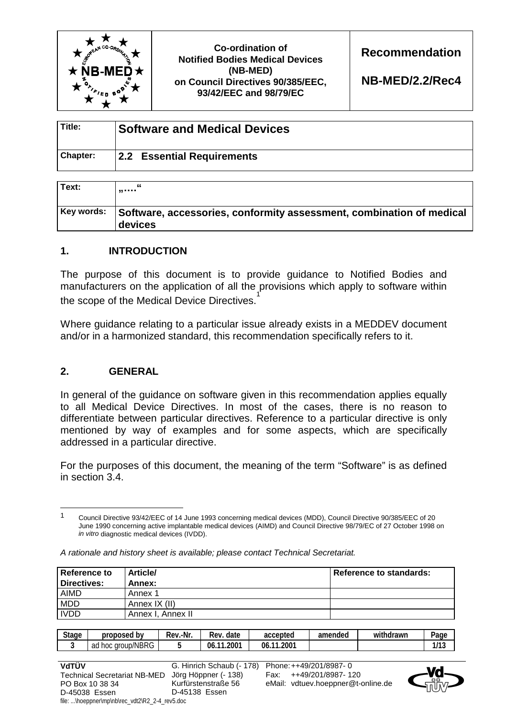

**Recommendation** 

**NB-MED/2.2/Rec4** 

| Title:   | <b>Software and Medical Devices</b> |
|----------|-------------------------------------|
| Chapter: | 2.2 Essential Requirements          |

| Text:      | "<br>                                                                           |
|------------|---------------------------------------------------------------------------------|
| Key words: | Software, accessories, conformity assessment, combination of medical<br>devices |

# **1. INTRODUCTION**

The purpose of this document is to provide guidance to Notified Bodies and manufacturers on the application of all the provisions which apply to software within the scope of the Medical Device Directives.<sup>1</sup>

Where guidance relating to a particular issue already exists in a MEDDEV document and/or in a harmonized standard, this recommendation specifically refers to it.

# **2. GENERAL**

 $\overline{a}$ 

In general of the guidance on software given in this recommendation applies equally to all Medical Device Directives. In most of the cases, there is no reason to differentiate between particular directives. Reference to a particular directive is only mentioned by way of examples and for some aspects, which are specifically addressed in a particular directive.

For the purposes of this document, the meaning of the term "Software" is as defined in section 3.4.

<sup>1</sup> Council Directive 93/42/EEC of 14 June 1993 concerning medical devices (MDD), Council Directive 90/385/EEC of 20 June 1990 concerning active implantable medical devices (AIMD) and Council Directive 98/79/EC of 27 October 1998 on *in vitro* diagnostic medical devices (IVDD).

| <b>Reference to</b><br>Directives: | <b>Article/</b><br>Annex: | <b>Reference to standards:</b> |
|------------------------------------|---------------------------|--------------------------------|
| <b>AIMD</b>                        | Annex 1                   |                                |
| <b>MDD</b>                         | Annex IX (II)             |                                |
| <b>IVDD</b>                        | Annex I, Annex II         |                                |

*A rationale and history sheet is available; please contact Technical Secretariat.* 

| <b>Stage</b> | ' bv<br>proposed               | .-Nr<br>Rev. | date<br>-<br>Rev.       | accepted                    | amended | $\cdots$<br>ithdrawr<br>Wil | $2$ age      |
|--------------|--------------------------------|--------------|-------------------------|-----------------------------|---------|-----------------------------|--------------|
| -            | group/NBRG<br>hoc.<br>ำศ<br>au |              | .200 <sup>4</sup><br>06 | $.200^{\circ}$<br>06<br>-44 |         |                             | 1112<br>נו ו |

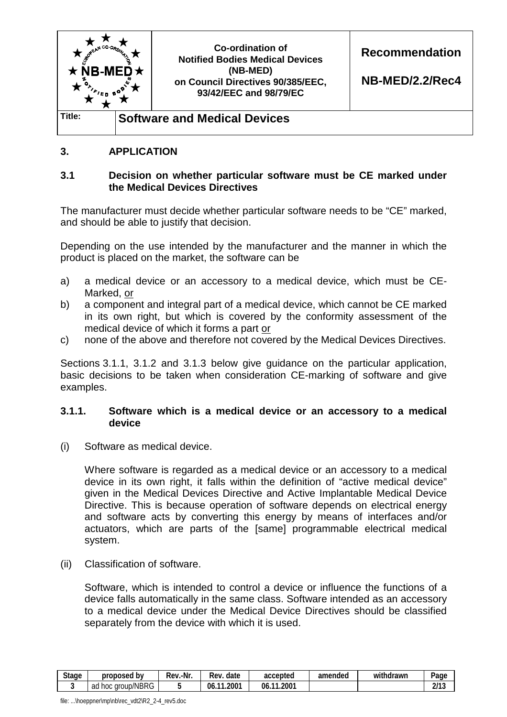

# **3. APPLICATION**

#### **3.1 Decision on whether particular software must be CE marked under the Medical Devices Directives**

The manufacturer must decide whether particular software needs to be "CE" marked, and should be able to justify that decision.

Depending on the use intended by the manufacturer and the manner in which the product is placed on the market, the software can be

- a) a medical device or an accessory to a medical device, which must be CE-Marked, or
- b) a component and integral part of a medical device, which cannot be CE marked in its own right, but which is covered by the conformity assessment of the medical device of which it forms a part or
- c) none of the above and therefore not covered by the Medical Devices Directives.

Sections 3.1.1, 3.1.2 and 3.1.3 below give guidance on the particular application, basic decisions to be taken when consideration CE-marking of software and give examples.

#### **3.1.1. Software which is a medical device or an accessory to a medical device**

(i) Software as medical device.

 Where software is regarded as a medical device or an accessory to a medical device in its own right, it falls within the definition of "active medical device" given in the Medical Devices Directive and Active Implantable Medical Device Directive. This is because operation of software depends on electrical energy and software acts by converting this energy by means of interfaces and/or actuators, which are parts of the [same] programmable electrical medical system.

(ii) Classification of software.

 Software, which is intended to control a device or influence the functions of a device falls automatically in the same class. Software intended as an accessory to a medical device under the Medical Device Directives should be classified separately from the device with which it is used.

| <b>Stage</b> | b٧<br>proposed                        | .-Nr<br>-<br>Rev | date<br>Rev              | accepted               | amended | $\cdots$<br>withdrawn | Paɑe            |
|--------------|---------------------------------------|------------------|--------------------------|------------------------|---------|-----------------------|-----------------|
|              | $\sqrt{2}$<br>hoc<br>aroup/NBRG<br>ad |                  | 2001<br>$\sim$<br>06<br> | $1.200-$<br>06.<br>- 4 |         |                       | ว11 ว<br>21 I J |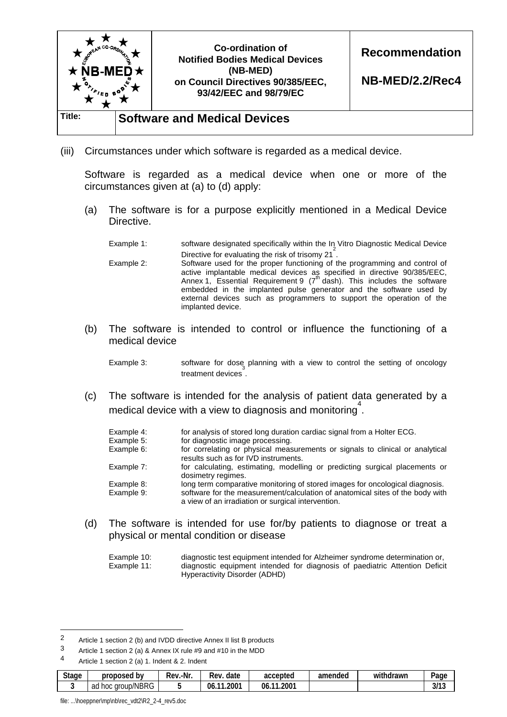

(iii) Circumstances under which software is regarded as a medical device.

 Software is regarded as a medical device when one or more of the circumstances given at (a) to (d) apply:

(a) The software is for a purpose explicitly mentioned in a Medical Device Directive.

Example 1: software designated specifically within the In Vitro Diagnostic Medical Device Directive for evaluating the risk of trisomy 21<sup>2</sup>.

 Example 2: Software used for the proper functioning of the programming and control of active implantable medical devices as specified in directive 90/385/EEC,<br>Annex 1, Essential Requirement 9 (7<sup>th</sup> dash). This includes the software embedded in the implanted pulse generator and the software used by external devices such as programmers to support the operation of the implanted device.

(b) The software is intended to control or influence the functioning of a medical device

 Example 3: software for dose planning with a view to control the setting of oncology treatment devices<sup>3</sup>

(c) The software is intended for the analysis of patient data generated by a medical device with a view to diagnosis and monitoring<sup>4</sup>.

| Example 4: | for analysis of stored long duration cardiac signal from a Holter ECG.                                                              |
|------------|-------------------------------------------------------------------------------------------------------------------------------------|
| Example 5: | for diagnostic image processing.                                                                                                    |
| Example 6: | for correlating or physical measurements or signals to clinical or analytical<br>results such as for IVD instruments.               |
| Example 7: | for calculating, estimating, modelling or predicting surgical placements or<br>dosimetry regimes.                                   |
| Example 8: | long term comparative monitoring of stored images for oncological diagnosis.                                                        |
| Example 9: | software for the measurement/calculation of anatomical sites of the body with<br>a view of an irradiation or surgical intervention. |

(d) The software is intended for use for/by patients to diagnose or treat a physical or mental condition or disease

Example 10: diagnostic test equipment intended for Alzheimer syndrome determination or, Example 11: diagnostic equipment intended for diagnosis of paediatric Attention Deficit Hyperactivity Disorder (ADHD)

<sup>4</sup> Article 1 section 2 (a) 1. Indent & 2. Indent

| <b>Stage</b> | proposed<br>. bv             | .-Nr.<br>Rev. | -<br>date<br>Rev               | accepted                               | amended | .<br>withdrawn | -<br>Page |
|--------------|------------------------------|---------------|--------------------------------|----------------------------------------|---------|----------------|-----------|
|              | /NBRG<br>aroup/<br>ad<br>hoc |               | .200 <sup>1</sup><br>06<br>. . | $.200^{\circ}$<br>$\overline{A}$<br>06 |         |                | 3/13      |

file: ...\hoeppner\mp\nb\rec\_vdt2\R2\_2-4\_rev5.doc

<sup>2</sup> Article 1 section 2 (b) and IVDD directive Annex II list B products<br>3 Article 1 section 2 (a) 8 Appex IV rule #9 and #10 in the MDD

Article 1 section 2 (a) & Annex IX rule #9 and #10 in the MDD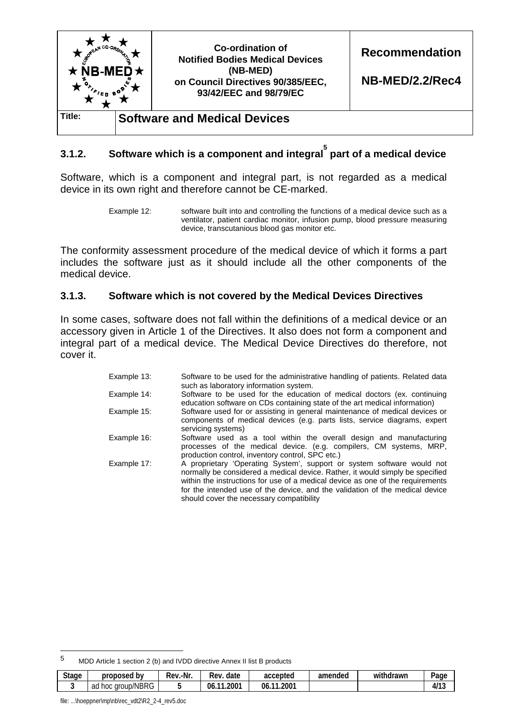

# **3.1.2. Software which is a component and integral5 part of a medical device**

Software, which is a component and integral part, is not regarded as a medical device in its own right and therefore cannot be CE-marked.

Example 12: software built into and controlling the functions of a medical device such as a ventilator, patient cardiac monitor, infusion pump, blood pressure measuring device, transcutanious blood gas monitor etc.

The conformity assessment procedure of the medical device of which it forms a part includes the software just as it should include all the other components of the medical device.

#### **3.1.3. Software which is not covered by the Medical Devices Directives**

In some cases, software does not fall within the definitions of a medical device or an accessory given in Article 1 of the Directives. It also does not form a component and integral part of a medical device. The Medical Device Directives do therefore, not cover it.

| Example 13: | Software to be used for the administrative handling of patients. Related data<br>such as laboratory information system.                                                                                                                                                                                                                                               |
|-------------|-----------------------------------------------------------------------------------------------------------------------------------------------------------------------------------------------------------------------------------------------------------------------------------------------------------------------------------------------------------------------|
| Example 14: | Software to be used for the education of medical doctors (ex. continuing<br>education software on CDs containing state of the art medical information)                                                                                                                                                                                                                |
| Example 15: | Software used for or assisting in general maintenance of medical devices or<br>components of medical devices (e.g. parts lists, service diagrams, expert<br>servicing systems)                                                                                                                                                                                        |
| Example 16: | Software used as a tool within the overall design and manufacturing<br>processes of the medical device. (e.g. compilers, CM systems, MRP,<br>production control, inventory control, SPC etc.)                                                                                                                                                                         |
| Example 17: | A proprietary 'Operating System', support or system software would not<br>normally be considered a medical device. Rather, it would simply be specified<br>within the instructions for use of a medical device as one of the requirements<br>for the intended use of the device, and the validation of the medical device<br>should cover the necessary compatibility |

<sup>5</sup> MDD Article 1 section 2 (b) and IVDD directive Annex II list B products

| <b>Stage</b> | proposed<br>b٧               | -Nr<br>-<br>Rev | -<br>Rev<br>date             | accepted           | amended | .<br>withdrawn | Page<br>. .      |
|--------------|------------------------------|-----------------|------------------------------|--------------------|---------|----------------|------------------|
|              | group/NBRG<br>ഹ<br>hoc<br>au |                 | 2001<br>$\blacksquare$<br>06 | .2007<br>06<br>- 4 |         |                | ,,,,<br>u<br>. . |

file: ...\hoeppner\mp\nb\rec\_vdt2\R2\_2-4\_rev5.doc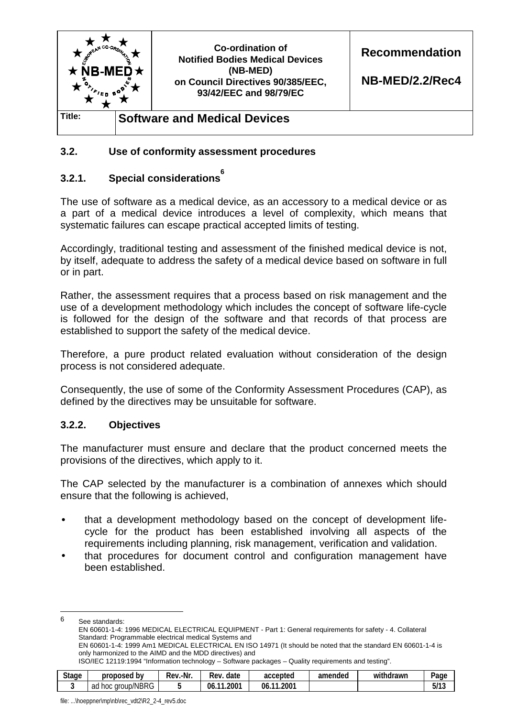

#### **3.2. Use of conformity assessment procedures**

# **3.2.1. Special considerations<sup>6</sup>**

The use of software as a medical device, as an accessory to a medical device or as a part of a medical device introduces a level of complexity, which means that systematic failures can escape practical accepted limits of testing.

Accordingly, traditional testing and assessment of the finished medical device is not, by itself, adequate to address the safety of a medical device based on software in full or in part.

Rather, the assessment requires that a process based on risk management and the use of a development methodology which includes the concept of software life-cycle is followed for the design of the software and that records of that process are established to support the safety of the medical device.

Therefore, a pure product related evaluation without consideration of the design process is not considered adequate.

Consequently, the use of some of the Conformity Assessment Procedures (CAP), as defined by the directives may be unsuitable for software.

#### **3.2.2. Objectives**

The manufacturer must ensure and declare that the product concerned meets the provisions of the directives, which apply to it.

The CAP selected by the manufacturer is a combination of annexes which should ensure that the following is achieved,

- that a development methodology based on the concept of development lifecycle for the product has been established involving all aspects of the requirements including planning, risk management, verification and validation.
- that procedures for document control and configuration management have been established.

6 See standards: EN 60601-1-4: 1996 MEDICAL ELECTRICAL EQUIPMENT - Part 1: General requirements for safety - 4. Collateral Standard: Programmable electrical medical Systems and

EN 60601-1-4: 1999 Am1 MEDICAL ELECTRICAL EN ISO 14971 (It should be noted that the standard EN 60601-1-4 is only harmonized to the AIMD and the MDD directives) and

| ISO/IEC 12119:1994 "Information technology – Software packages – Quality requirements and testing". |  |
|-----------------------------------------------------------------------------------------------------|--|
|-----------------------------------------------------------------------------------------------------|--|

| <b>Stage</b> | b٧<br>proposed          | .-Nr<br>-<br>Rev | date<br>Rev        | accepted            | amended | .<br>withdrawn | Page         |
|--------------|-------------------------|------------------|--------------------|---------------------|---------|----------------|--------------|
|              | group/NBRG<br>hoc<br>ad |                  | 2001<br>- 44<br>06 | .2001<br>06.<br>- - |         |                | FI4C<br>5/13 |

file: ...\hoeppner\mp\nb\rec\_vdt2\R2\_2-4\_rev5.doc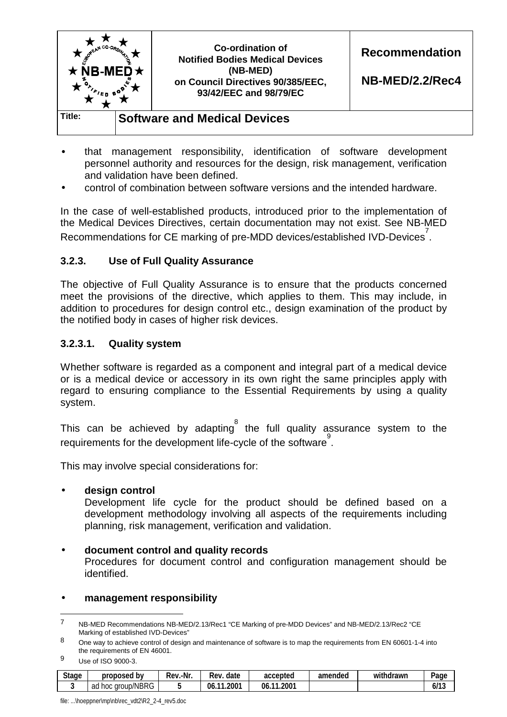

- that management responsibility, identification of software development personnel authority and resources for the design, risk management, verification and validation have been defined.
- control of combination between software versions and the intended hardware.

In the case of well-established products, introduced prior to the implementation of the Medical Devices Directives, certain documentation may not exist. See NB-MED Recommendations for CE marking of pre-MDD devices/established IVD-Devices<sup>7</sup>.

# **3.2.3. Use of Full Quality Assurance**

The objective of Full Quality Assurance is to ensure that the products concerned meet the provisions of the directive, which applies to them. This may include, in addition to procedures for design control etc., design examination of the product by the notified body in cases of higher risk devices.

#### **3.2.3.1. Quality system**

Whether software is regarded as a component and integral part of a medical device or is a medical device or accessory in its own right the same principles apply with regard to ensuring compliance to the Essential Requirements by using a quality system.

This can be achieved by adapting the full quality assurance system to the requirements for the development life-cycle of the software<sup>9</sup>.

This may involve special considerations for:

#### • **design control**

Development life cycle for the product should be defined based on a development methodology involving all aspects of the requirements including planning, risk management, verification and validation.

#### • **document control and quality records**

Procedures for document control and configuration management should be identified.

#### • **management responsibility**

9 Use of ISO 9000-3.

| <b>Stage</b> | proposed<br>b٧          | .-Nr.<br>Rev. | date<br>Rev.                    | accepted               | amended | withdrawn | Page          |
|--------------|-------------------------|---------------|---------------------------------|------------------------|---------|-----------|---------------|
|              | group/NBRG<br>ad<br>hoc |               | .200 <sup>7</sup><br>06.<br>- - | 2001.،<br>- - -<br>06. |         |           | 113<br>0/ I J |

<sup>7</sup> NB-MED Recommendations NB-MED/2.13/Rec1 "CE Marking of pre-MDD Devices" and NB-MED/2.13/Rec2 "CE Marking of established IVD-Devices"

<sup>8</sup> One way to achieve control of design and maintenance of software is to map the requirements from EN 60601-1-4 into the requirements of EN 46001.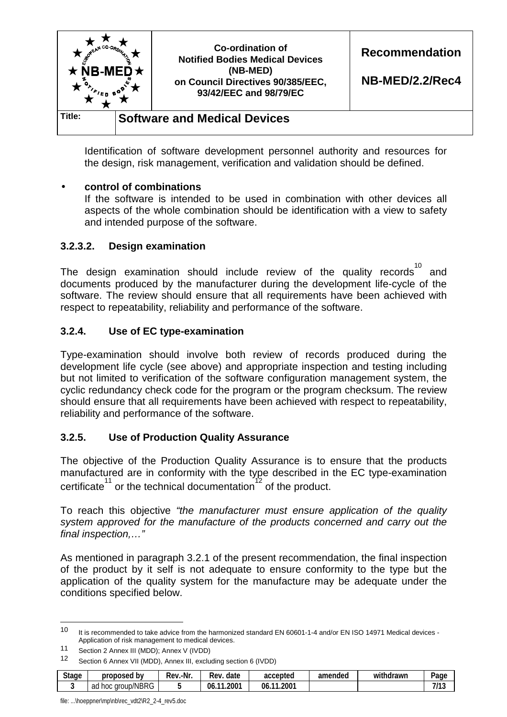

Identification of software development personnel authority and resources for the design, risk management, verification and validation should be defined.

#### • **control of combinations**

If the software is intended to be used in combination with other devices all aspects of the whole combination should be identification with a view to safety and intended purpose of the software.

#### **3.2.3.2. Design examination**

The design examination should include review of the quality records  $^{10}$  and documents produced by the manufacturer during the development life-cycle of the software. The review should ensure that all requirements have been achieved with respect to repeatability, reliability and performance of the software.

#### **3.2.4. Use of EC type-examination**

Type-examination should involve both review of records produced during the development life cycle (see above) and appropriate inspection and testing including but not limited to verification of the software configuration management system, the cyclic redundancy check code for the program or the program checksum. The review should ensure that all requirements have been achieved with respect to repeatability, reliability and performance of the software.

# **3.2.5. Use of Production Quality Assurance**

The objective of the Production Quality Assurance is to ensure that the products manufactured are in conformity with the type described in the EC type-examination certificate<sup>11</sup> or the technical documentation<sup>12</sup> of the product.

To reach this objective *"the manufacturer must ensure application of the quality system approved for the manufacture of the products concerned and carry out the final inspection,…"* 

As mentioned in paragraph 3.2.1 of the present recommendation, the final inspection of the product by it self is not adequate to ensure conformity to the type but the application of the quality system for the manufacture may be adequate under the conditions specified below.

<sup>12</sup> Section 6 Annex VII (MDD), Annex III, excluding section 6 (IVDD)

| <b>Stage</b><br>. . | proposed<br>b٧               | .-Nr<br>Rev. | -<br>date<br>Rev.           | accepted                        | amended | .<br>withdrawn | -<br>Page   |
|---------------------|------------------------------|--------------|-----------------------------|---------------------------------|---------|----------------|-------------|
|                     | /NBRG<br>aroup/<br>ad<br>hoc |              | $.200^{\circ}$<br>06<br>. . | 1.200 <sup>1</sup><br>06<br>-44 |         |                | 7112<br>ن ا |

file: ...\hoeppner\mp\nb\rec\_vdt2\R2\_2-4\_rev5.doc

<sup>10</sup> It is recommended to take advice from the harmonized standard EN 60601-1-4 and/or EN ISO 14971 Medical devices - Application of risk management to medical devices.

<sup>11</sup> Section 2 Annex III (MDD); Annex V (IVDD)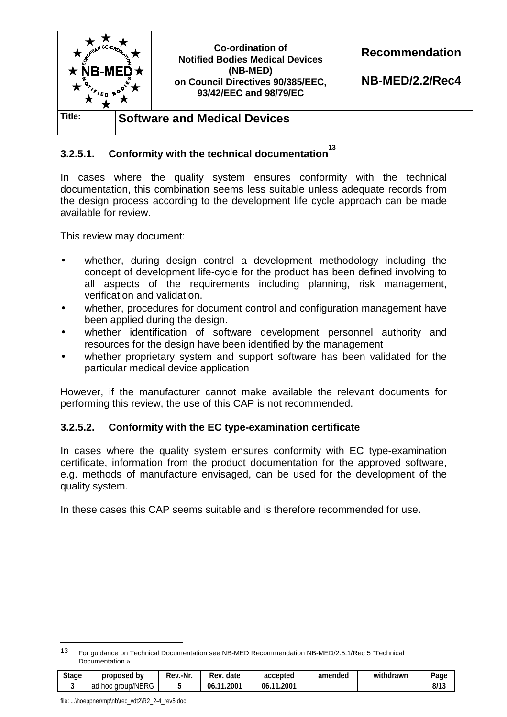

# **3.2.5.1.** Conformity with the technical documentation<sup>13</sup>

In cases where the quality system ensures conformity with the technical documentation, this combination seems less suitable unless adequate records from the design process according to the development life cycle approach can be made available for review.

This review may document:

- whether, during design control a development methodology including the concept of development life-cycle for the product has been defined involving to all aspects of the requirements including planning, risk management, verification and validation.
- whether, procedures for document control and configuration management have been applied during the design.
- whether identification of software development personnel authority and resources for the design have been identified by the management
- whether proprietary system and support software has been validated for the particular medical device application

However, if the manufacturer cannot make available the relevant documents for performing this review, the use of this CAP is not recommended.

# **3.2.5.2. Conformity with the EC type-examination certificate**

In cases where the quality system ensures conformity with EC type-examination certificate, information from the product documentation for the approved software, e.g. methods of manufacture envisaged, can be used for the development of the quality system.

In these cases this CAP seems suitable and is therefore recommended for use.

<sup>13</sup> For guidance on Technical Documentation see NB-MED Recommendation NB-MED/2.5.1/Rec 5 "Technical Documentation »

| <b>Stage</b> | proposed<br>b٧          | Rev.-Nr. | date<br>Rev          | accepted                       | amended | .<br>withdrawn | Paɑe          |
|--------------|-------------------------|----------|----------------------|--------------------------------|---------|----------------|---------------|
|              | group/NBRG<br>ad<br>hoc |          | .2001<br>-06.<br>- - | .2007<br>06.<br>$\overline{A}$ |         |                | 0112<br>נו וס |

file: ...\hoeppner\mp\nb\rec\_vdt2\R2\_2-4\_rev5.doc

l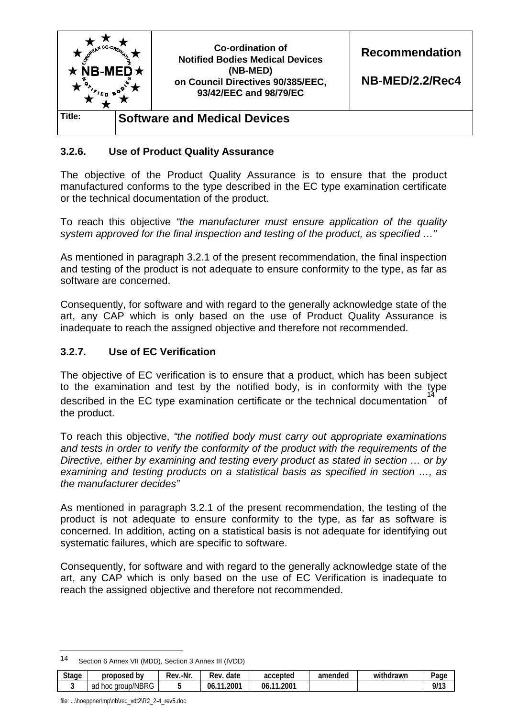

#### **3.2.6. Use of Product Quality Assurance**

The objective of the Product Quality Assurance is to ensure that the product manufactured conforms to the type described in the EC type examination certificate or the technical documentation of the product.

To reach this objective *"the manufacturer must ensure application of the quality system approved for the final inspection and testing of the product, as specified …"* 

As mentioned in paragraph 3.2.1 of the present recommendation, the final inspection and testing of the product is not adequate to ensure conformity to the type, as far as software are concerned.

Consequently, for software and with regard to the generally acknowledge state of the art, any CAP which is only based on the use of Product Quality Assurance is inadequate to reach the assigned objective and therefore not recommended.

#### **3.2.7. Use of EC Verification**

The objective of EC verification is to ensure that a product, which has been subject to the examination and test by the notified body, is in conformity with the type described in the EC type examination certificate or the technical documentation <sup>14</sup> of the product.

To reach this objective, *"the notified body must carry out appropriate examinations and tests in order to verify the conformity of the product with the requirements of the Directive, either by examining and testing every product as stated in section … or by examining and testing products on a statistical basis as specified in section …, as the manufacturer decides"* 

As mentioned in paragraph 3.2.1 of the present recommendation, the testing of the product is not adequate to ensure conformity to the type, as far as software is concerned. In addition, acting on a statistical basis is not adequate for identifying out systematic failures, which are specific to software.

Consequently, for software and with regard to the generally acknowledge state of the art, any CAP which is only based on the use of EC Verification is inadequate to reach the assigned objective and therefore not recommended.

<sup>14</sup> Section 6 Annex VII (MDD), Section 3 Annex III (IVDD)

| <b>Stage</b> | b٧<br>proposed       | .-Nr<br>-<br>Rev. | date<br>Rev       | accepted              | amended | .<br>drawn<br>withdi | Page           |
|--------------|----------------------|-------------------|-------------------|-----------------------|---------|----------------------|----------------|
|              | group/NBRG<br>ad hoc |                   | 2001<br>- -<br>06 | $.200-$<br>06.<br>- 4 |         |                      | 0/12<br>71 I J |

file: ...\hoeppner\mp\nb\rec\_vdt2\R2\_2-4\_rev5.doc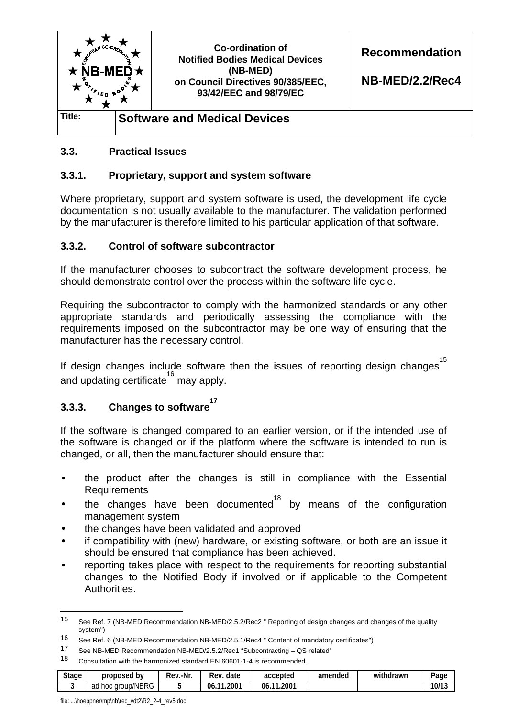

# **3.3. Practical Issues**

#### **3.3.1. Proprietary, support and system software**

Where proprietary, support and system software is used, the development life cycle documentation is not usually available to the manufacturer. The validation performed by the manufacturer is therefore limited to his particular application of that software.

#### **3.3.2. Control of software subcontractor**

If the manufacturer chooses to subcontract the software development process, he should demonstrate control over the process within the software life cycle.

Requiring the subcontractor to comply with the harmonized standards or any other appropriate standards and periodically assessing the compliance with the requirements imposed on the subcontractor may be one way of ensuring that the manufacturer has the necessary control.

<sup>15</sup><br>If design changes include software then the issues of reporting design changes<sup>15</sup> and updating certificate<sup>16</sup> may apply.

# **3.3.3. Changes to software 17**

If the software is changed compared to an earlier version, or if the intended use of the software is changed or if the platform where the software is intended to run is changed, or all, then the manufacturer should ensure that:

- the product after the changes is still in compliance with the Essential Requirements
- the changes have been documented<sup>18</sup> by means of the configuration management system
- the changes have been validated and approved
- if compatibility with (new) hardware, or existing software, or both are an issue it should be ensured that compliance has been achieved.
- reporting takes place with respect to the requirements for reporting substantial changes to the Notified Body if involved or if applicable to the Competent Authorities.

<sup>18</sup> Consultation with the harmonized standard EN 60601-1-4 is recommended.

| <b>Stage</b><br>. . | proposed<br>b٧                | .-Nr<br>Rev | -<br>Rev.<br>date    | accepted                         | amended | .<br>withdrawn | -<br>Page |
|---------------------|-------------------------------|-------------|----------------------|----------------------------------|---------|----------------|-----------|
|                     | /NBRG<br>aroup/<br>ad<br>-noc |             | $.200-$<br>06<br>. . | 1.200 <sup>7</sup><br>- 4<br>06. |         |                | 10/13     |

file: ...\hoeppner\mp\nb\rec\_vdt2\R2\_2-4\_rev5.doc

<sup>15</sup> See Ref. 7 (NB-MED Recommendation NB-MED/2.5.2/Rec2 " Reporting of design changes and changes of the quality system")

<sup>16</sup> See Ref. 6 (NB-MED Recommendation NB-MED/2.5.1/Rec4 " Content of mandatory certificates")

<sup>17</sup> See NB-MED Recommendation NB-MED/2.5.2/Rec1 "Subcontracting – QS related"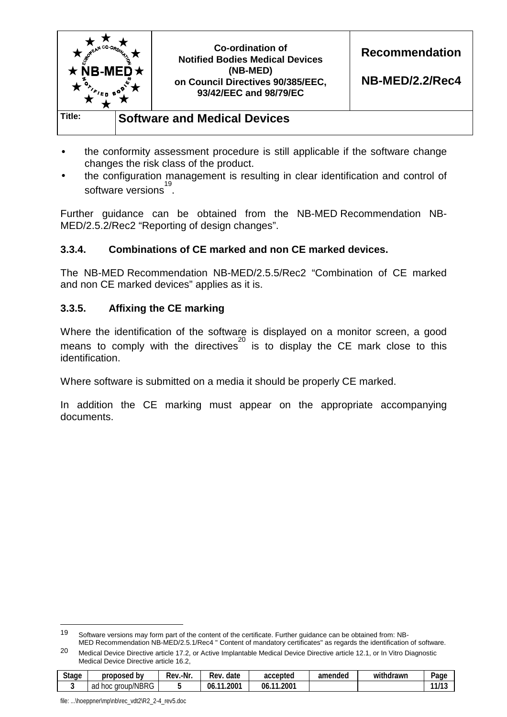

- the conformity assessment procedure is still applicable if the software change changes the risk class of the product.
- the configuration management is resulting in clear identification and control of software versions<sup>19</sup>.

Further guidance can be obtained from the NB-MED Recommendation NB-MED/2.5.2/Rec2 "Reporting of design changes".

# **3.3.4. Combinations of CE marked and non CE marked devices.**

The NB-MED Recommendation NB-MED/2.5.5/Rec2 "Combination of CE marked and non CE marked devices" applies as it is.

# **3.3.5. Affixing the CE marking**

Where the identification of the software is displayed on a monitor screen, a good means to comply with the directives<sup>20</sup> is to display the CE mark close to this identification.

Where software is submitted on a media it should be properly CE marked.

In addition the CE marking must appear on the appropriate accompanying documents.

<sup>20</sup> Medical Device Directive article 17.2, or Active Implantable Medical Device Directive article 12.1, or In Vitro Diagnostic Medical Device Directive article 16.2,

| <b>Stage</b> | proposed<br>. bv         | .-Nr.<br>kev.- | date<br>Rev.                   | accepted                          | amended | $\cdots$<br>withdrawn | Page                        |
|--------------|--------------------------|----------------|--------------------------------|-----------------------------------|---------|-----------------------|-----------------------------|
|              | group/NBRG<br>ad<br>hoc. |                | .200 <sup>1</sup><br>06<br>. . | 1.200 <sup>1</sup><br>- 44<br>06. |         |                       | 14117<br>. .<br>- 17<br>. . |

file: ...\hoeppner\mp\nb\rec\_vdt2\R2\_2-4\_rev5.doc

<sup>19</sup> Software versions may form part of the content of the certificate. Further guidance can be obtained from: NB-MED Recommendation NB-MED/2.5.1/Rec4 " Content of mandatory certificates" as regards the identification of software.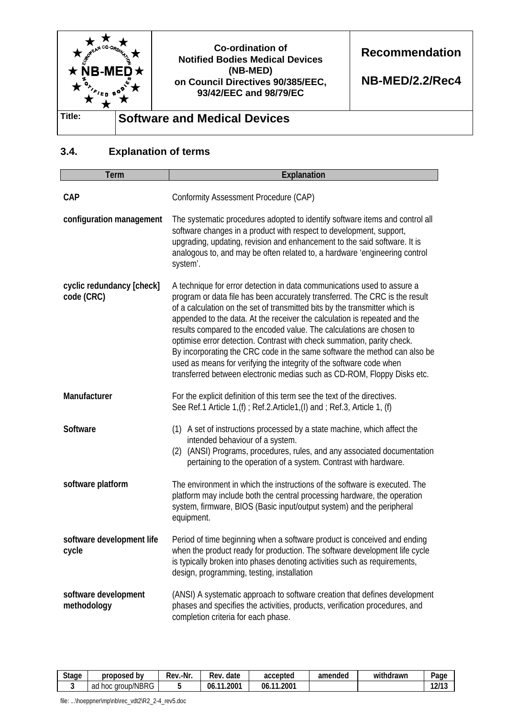

# **3.4. Explanation of terms**

| <b>Term</b>                             | <b>Explanation</b>                                                                                                                                                                                                                                                                                                                                                                                                                                                                                                                                                                                                                                                                                   |  |  |  |  |  |
|-----------------------------------------|------------------------------------------------------------------------------------------------------------------------------------------------------------------------------------------------------------------------------------------------------------------------------------------------------------------------------------------------------------------------------------------------------------------------------------------------------------------------------------------------------------------------------------------------------------------------------------------------------------------------------------------------------------------------------------------------------|--|--|--|--|--|
| <b>CAP</b>                              | Conformity Assessment Procedure (CAP)                                                                                                                                                                                                                                                                                                                                                                                                                                                                                                                                                                                                                                                                |  |  |  |  |  |
| configuration management                | The systematic procedures adopted to identify software items and control all<br>software changes in a product with respect to development, support,<br>upgrading, updating, revision and enhancement to the said software. It is<br>analogous to, and may be often related to, a hardware 'engineering control<br>system'.                                                                                                                                                                                                                                                                                                                                                                           |  |  |  |  |  |
| cyclic redundancy [check]<br>code (CRC) | A technique for error detection in data communications used to assure a<br>program or data file has been accurately transferred. The CRC is the result<br>of a calculation on the set of transmitted bits by the transmitter which is<br>appended to the data. At the receiver the calculation is repeated and the<br>results compared to the encoded value. The calculations are chosen to<br>optimise error detection. Contrast with check summation, parity check.<br>By incorporating the CRC code in the same software the method can also be<br>used as means for verifying the integrity of the software code when<br>transferred between electronic medias such as CD-ROM, Floppy Disks etc. |  |  |  |  |  |
| Manufacturer                            | For the explicit definition of this term see the text of the directives.<br>See Ref.1 Article 1,(f); Ref.2.Article1,(I) and; Ref.3, Article 1, (f)                                                                                                                                                                                                                                                                                                                                                                                                                                                                                                                                                   |  |  |  |  |  |
| <b>Software</b>                         | (1) A set of instructions processed by a state machine, which affect the<br>intended behaviour of a system.<br>(2) (ANSI) Programs, procedures, rules, and any associated documentation<br>pertaining to the operation of a system. Contrast with hardware.                                                                                                                                                                                                                                                                                                                                                                                                                                          |  |  |  |  |  |
| software platform                       | The environment in which the instructions of the software is executed. The<br>platform may include both the central processing hardware, the operation<br>system, firmware, BIOS (Basic input/output system) and the peripheral<br>equipment.                                                                                                                                                                                                                                                                                                                                                                                                                                                        |  |  |  |  |  |
| software development life<br>cycle      | Period of time beginning when a software product is conceived and ending<br>when the product ready for production. The software development life cycle<br>is typically broken into phases denoting activities such as requirements,<br>design, programming, testing, installation                                                                                                                                                                                                                                                                                                                                                                                                                    |  |  |  |  |  |
| software development<br>methodology     | (ANSI) A systematic approach to software creation that defines development<br>phases and specifies the activities, products, verification procedures, and<br>completion criteria for each phase.                                                                                                                                                                                                                                                                                                                                                                                                                                                                                                     |  |  |  |  |  |

| <b>Stage</b> | proposed<br>b٧                      | .-Nr<br>Rev. | date<br>Rev              | accepted             | amended | .<br>withdrawn | -<br>Page           |
|--------------|-------------------------------------|--------------|--------------------------|----------------------|---------|----------------|---------------------|
|              | MDDO<br>aroup/<br>ad<br>hoc<br>™BRG |              | ∩^^<br>- - -<br>06<br>ωυ | 1.2001<br>06.<br>-44 |         |                | $-1014$<br>↵<br>. . |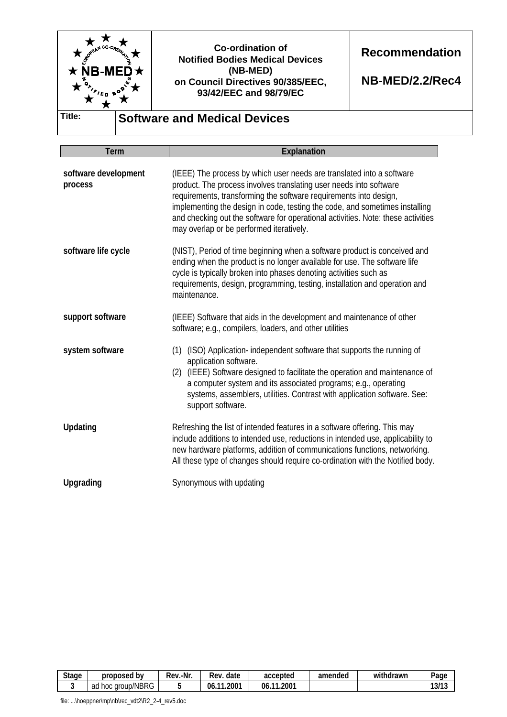

**Recommendation** 

**NB-MED/2.2/Rec4** 

**Title: Software and Medical Devices** 

| <b>Term</b>                     | <b>Explanation</b>                                                                                                                                                                                                                                                                                                                                                                                                              |  |  |  |  |  |
|---------------------------------|---------------------------------------------------------------------------------------------------------------------------------------------------------------------------------------------------------------------------------------------------------------------------------------------------------------------------------------------------------------------------------------------------------------------------------|--|--|--|--|--|
| software development<br>process | (IEEE) The process by which user needs are translated into a software<br>product. The process involves translating user needs into software<br>requirements, transforming the software requirements into design,<br>implementing the design in code, testing the code, and sometimes installing<br>and checking out the software for operational activities. Note: these activities<br>may overlap or be performed iteratively. |  |  |  |  |  |
| software life cycle             | (NIST), Period of time beginning when a software product is conceived and<br>ending when the product is no longer available for use. The software life<br>cycle is typically broken into phases denoting activities such as<br>requirements, design, programming, testing, installation and operation and<br>maintenance.                                                                                                       |  |  |  |  |  |
| support software                | (IEEE) Software that aids in the development and maintenance of other<br>software; e.g., compilers, loaders, and other utilities                                                                                                                                                                                                                                                                                                |  |  |  |  |  |
| system software                 | (1) (ISO) Application-independent software that supports the running of<br>application software.<br>(2) (IEEE) Software designed to facilitate the operation and maintenance of<br>a computer system and its associated programs; e.g., operating<br>systems, assemblers, utilities. Contrast with application software. See:<br>support software.                                                                              |  |  |  |  |  |
| <b>Updating</b>                 | Refreshing the list of intended features in a software offering. This may<br>include additions to intended use, reductions in intended use, applicability to<br>new hardware platforms, addition of communications functions, networking.<br>All these type of changes should require co-ordination with the Notified body.                                                                                                     |  |  |  |  |  |
| Upgrading                       | Synonymous with updating                                                                                                                                                                                                                                                                                                                                                                                                        |  |  |  |  |  |

| <b>Stage</b><br>. . | b٧<br>proposed                     | .-Nr<br>Rev | Rev<br>date        | accepted            | amended | .<br>withdrawn | Page  |
|---------------------|------------------------------------|-------------|--------------------|---------------------|---------|----------------|-------|
|                     | /NBRG<br>ำก<br>hoc<br>aroup/<br>au |             | .2007<br>- -<br>06 | .2001<br>06.<br>. . |         |                | 13/13 |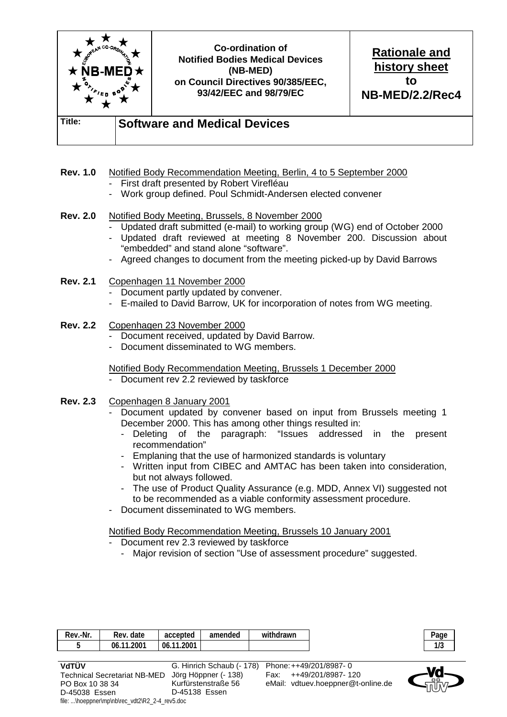

**Rev. 1.0** Notified Body Recommendation Meeting, Berlin, 4 to 5 September 2000

- First draft presented by Robert Virefléau
- Work group defined. Poul Schmidt-Andersen elected convener

#### **Rev. 2.0** Notified Body Meeting, Brussels, 8 November 2000

- Updated draft submitted (e-mail) to working group (WG) end of October 2000
- Updated draft reviewed at meeting 8 November 200. Discussion about "embedded" and stand alone "software".
- Agreed changes to document from the meeting picked-up by David Barrows
- **Rev. 2.1** Copenhagen 11 November 2000
	- Document partly updated by convener.
	- E-mailed to David Barrow, UK for incorporation of notes from WG meeting.

#### **Rev. 2.2** Copenhagen 23 November 2000

- Document received, updated by David Barrow.
- Document disseminated to WG members.

#### Notified Body Recommendation Meeting, Brussels 1 December 2000

- Document rev 2.2 reviewed by taskforce
- **Rev. 2.3** Copenhagen 8 January 2001
	- Document updated by convener based on input from Brussels meeting 1 December 2000. This has among other things resulted in:
		- Deleting of the paragraph: "Issues addressed in the present recommendation"
		- Emplaning that the use of harmonized standards is voluntary
		- Written input from CIBEC and AMTAC has been taken into consideration, but not always followed.
		- The use of Product Quality Assurance (e.g. MDD, Annex VI) suggested not to be recommended as a viable conformity assessment procedure.
	- Document disseminated to WG members.

Notified Body Recommendation Meeting, Brussels 10 January 2001

- Document rev 2.3 reviewed by taskforce
	- Major revision of section "Use of assessment procedure" suggested.

| -Nr.<br>Rev. | Rev. date               | accepted                                | amended | withdrawn |
|--------------|-------------------------|-----------------------------------------|---------|-----------|
|              | $.200-$<br>$-11$<br>06. | .2001<br>06<br>$\overline{\phantom{a}}$ |         |           |

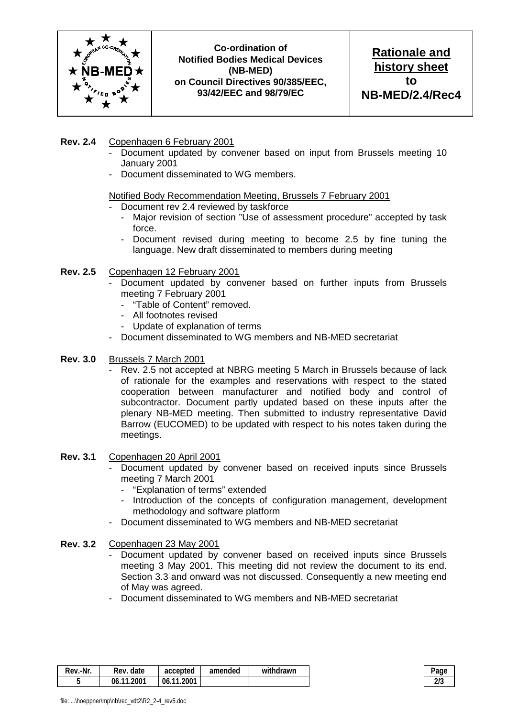

**Rationale and history sheet to NB-MED/2.4/Rec4**

#### **Rev. 2.4** Copenhagen 6 February 2001

- Document updated by convener based on input from Brussels meeting 10 January 2001
- Document disseminated to WG members.

#### Notified Body Recommendation Meeting, Brussels 7 February 2001

- Document rev 2.4 reviewed by taskforce
	- Major revision of section "Use of assessment procedure" accepted by task force.
	- Document revised during meeting to become 2.5 by fine tuning the language. New draft disseminated to members during meeting

#### **Rev. 2.5** Copenhagen 12 February 2001

- Document updated by convener based on further inputs from Brussels meeting 7 February 2001
	- "Table of Content" removed.
	- All footnotes revised
	- Update of explanation of terms
- Document disseminated to WG members and NB-MED secretariat
- **Rev. 3.0** Brussels 7 March 2001
	- Rev. 2.5 not accepted at NBRG meeting 5 March in Brussels because of lack of rationale for the examples and reservations with respect to the stated cooperation between manufacturer and notified body and control of subcontractor. Document partly updated based on these inputs after the plenary NB-MED meeting. Then submitted to industry representative David Barrow (EUCOMED) to be updated with respect to his notes taken during the meetings.
- **Rev. 3.1** Copenhagen 20 April 2001
	- Document updated by convener based on received inputs since Brussels meeting 7 March 2001
		- "Explanation of terms" extended
		- Introduction of the concepts of configuration management, development methodology and software platform
	- Document disseminated to WG members and NB-MED secretariat
- **Rev. 3.2** Copenhagen 23 May 2001
	- Document updated by convener based on received inputs since Brussels meeting 3 May 2001. This meeting did not review the document to its end. Section 3.3 and onward was not discussed. Consequently a new meeting end of May was agreed.
	- Document disseminated to WG members and NB-MED secretariat

| -Nr.<br>Rev. | Rev. date  | accepted              | amended | withdrawn | Page       |
|--------------|------------|-----------------------|---------|-----------|------------|
|              | 06.11.2001 | 1.2001<br>06.<br>$-1$ |         |           | יו ה<br>4. |